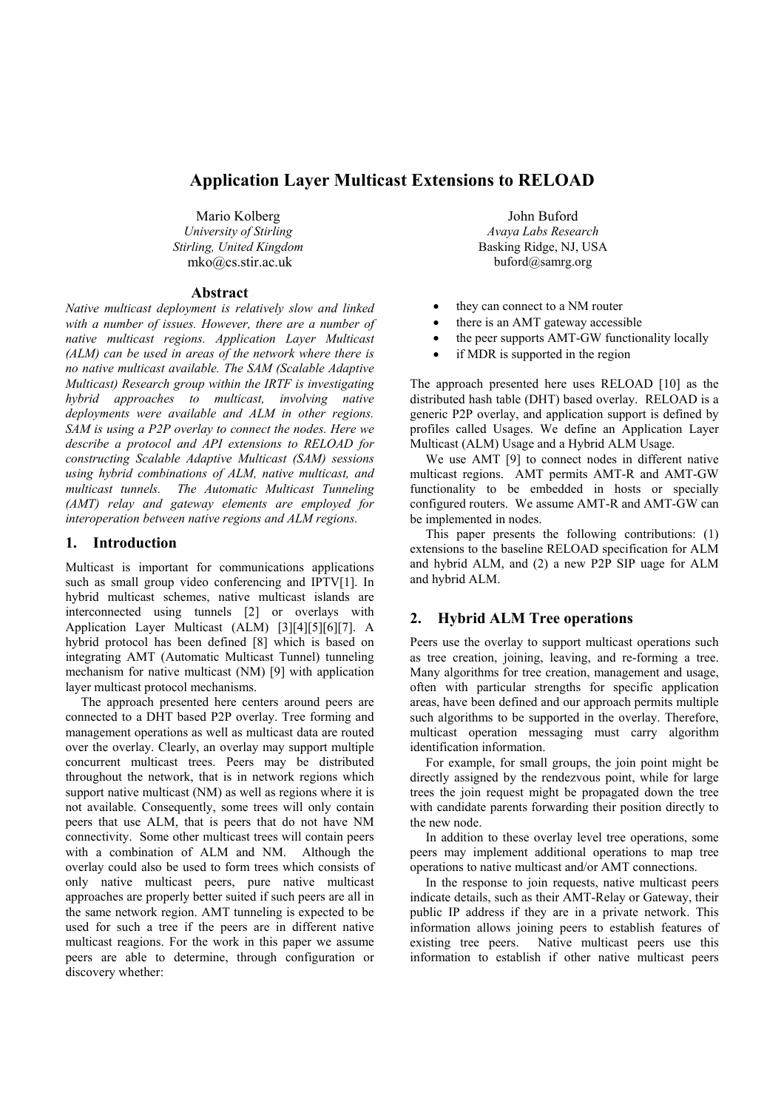# **Application Layer Multicast Extensions to RELOAD**

Mario Kolberg *University of Stirling Stirling, United Kingdom* mko@cs.stir.ac.uk

#### **Abstract**

*Native multicast deployment is relatively slow and linked with a number of issues. However, there are a number of native multicast regions. Application Layer Multicast (ALM) can be used in areas of the network where there is no native multicast available. The SAM (Scalable Adaptive Multicast) Research group within the IRTF is investigating hybrid approaches to multicast, involving native deployments were available and ALM in other regions. SAM is using a P2P overlay to connect the nodes. Here we describe a protocol and API extensions to RELOAD for constructing Scalable Adaptive Multicast (SAM) sessions using hybrid combinations of ALM, native multicast, and multicast tunnels. The Automatic Multicast Tunneling (AMT) relay and gateway elements are employed for interoperation between native regions and ALM regions.* 

### **1. Introduction**

Multicast is important for communications applications such as small group video conferencing and IPTV[1]. In hybrid multicast schemes, native multicast islands are interconnected using tunnels [2] or overlays with Application Layer Multicast (ALM) [3][4][5][6][7]. A hybrid protocol has been defined [8] which is based on integrating AMT (Automatic Multicast Tunnel) tunneling mechanism for native multicast (NM) [9] with application layer multicast protocol mechanisms.

The approach presented here centers around peers are connected to a DHT based P2P overlay. Tree forming and management operations as well as multicast data are routed over the overlay. Clearly, an overlay may support multiple concurrent multicast trees. Peers may be distributed throughout the network, that is in network regions which support native multicast (NM) as well as regions where it is not available. Consequently, some trees will only contain peers that use ALM, that is peers that do not have NM connectivity. Some other multicast trees will contain peers with a combination of ALM and NM. Although the overlay could also be used to form trees which consists of only native multicast peers, pure native multicast approaches are properly better suited if such peers are all in the same network region. AMT tunneling is expected to be used for such a tree if the peers are in different native multicast reagions. For the work in this paper we assume peers are able to determine, through configuration or discovery whether:

John Buford *Avaya Labs Research*  Basking Ridge, NJ, USA buford@samrg.org

- they can connect to a NM router
- there is an AMT gateway accessible
- the peer supports AMT-GW functionality locally
- if MDR is supported in the region

The approach presented here uses RELOAD [10] as the distributed hash table (DHT) based overlay. RELOAD is a generic P2P overlay, and application support is defined by profiles called Usages. We define an Application Layer Multicast (ALM) Usage and a Hybrid ALM Usage.

We use AMT [9] to connect nodes in different native multicast regions. AMT permits AMT-R and AMT-GW functionality to be embedded in hosts or specially configured routers. We assume AMT-R and AMT-GW can be implemented in nodes.

This paper presents the following contributions: (1) extensions to the baseline RELOAD specification for ALM and hybrid ALM, and (2) a new P2P SIP uage for ALM and hybrid ALM.

# **2. Hybrid ALM Tree operations**

Peers use the overlay to support multicast operations such as tree creation, joining, leaving, and re-forming a tree. Many algorithms for tree creation, management and usage, often with particular strengths for specific application areas, have been defined and our approach permits multiple such algorithms to be supported in the overlay. Therefore, multicast operation messaging must carry algorithm identification information.

For example, for small groups, the join point might be directly assigned by the rendezvous point, while for large trees the join request might be propagated down the tree with candidate parents forwarding their position directly to the new node.

In addition to these overlay level tree operations, some peers may implement additional operations to map tree operations to native multicast and/or AMT connections.

In the response to join requests, native multicast peers indicate details, such as their AMT-Relay or Gateway, their public IP address if they are in a private network. This information allows joining peers to establish features of existing tree peers. Native multicast peers use this information to establish if other native multicast peers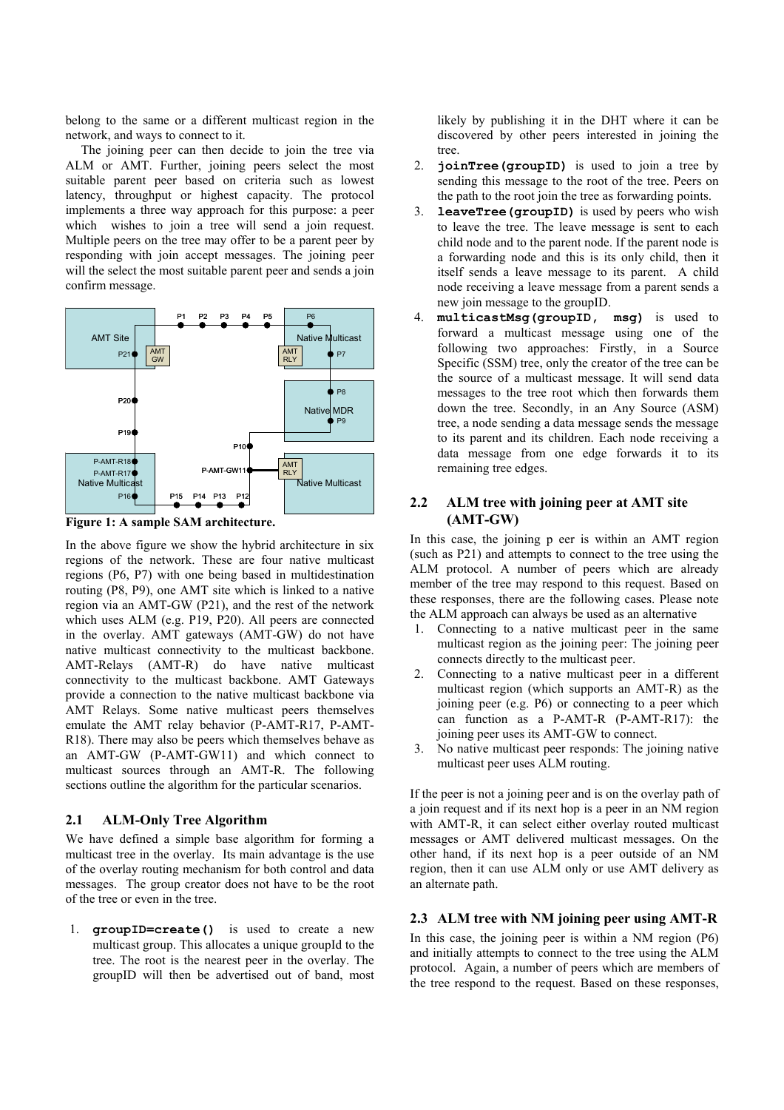belong to the same or a different multicast region in the network, and ways to connect to it.

The joining peer can then decide to join the tree via ALM or AMT. Further, joining peers select the most suitable parent peer based on criteria such as lowest latency, throughput or highest capacity. The protocol implements a three way approach for this purpose: a peer which wishes to join a tree will send a join request. Multiple peers on the tree may offer to be a parent peer by responding with join accept messages. The joining peer will the select the most suitable parent peer and sends a join confirm message.



**Figure 1: A sample SAM architecture.** 

In the above figure we show the hybrid architecture in six regions of the network. These are four native multicast regions (P6, P7) with one being based in multidestination routing (P8, P9), one AMT site which is linked to a native region via an AMT-GW (P21), and the rest of the network which uses ALM (e.g. P19, P20). All peers are connected in the overlay. AMT gateways (AMT-GW) do not have native multicast connectivity to the multicast backbone. AMT-Relays (AMT-R) do have native multicast connectivity to the multicast backbone. AMT Gateways provide a connection to the native multicast backbone via AMT Relays. Some native multicast peers themselves emulate the AMT relay behavior (P-AMT-R17, P-AMT-R18). There may also be peers which themselves behave as an AMT-GW (P-AMT-GW11) and which connect to multicast sources through an AMT-R. The following sections outline the algorithm for the particular scenarios.

#### **2.1 ALM-Only Tree Algorithm**

We have defined a simple base algorithm for forming a multicast tree in the overlay. Its main advantage is the use of the overlay routing mechanism for both control and data messages. The group creator does not have to be the root of the tree or even in the tree.

1. **groupID=create()** is used to create a new multicast group. This allocates a unique groupId to the tree. The root is the nearest peer in the overlay. The groupID will then be advertised out of band, most likely by publishing it in the DHT where it can be discovered by other peers interested in joining the tree.

- 2. **joinTree(groupID)** is used to join a tree by sending this message to the root of the tree. Peers on the path to the root join the tree as forwarding points.
- 3. **leaveTree(groupID)** is used by peers who wish to leave the tree. The leave message is sent to each child node and to the parent node. If the parent node is a forwarding node and this is its only child, then it itself sends a leave message to its parent. A child node receiving a leave message from a parent sends a new join message to the groupID.
- 4. **multicastMsg(groupID, msg)** is used to forward a multicast message using one of the following two approaches: Firstly, in a Source Specific (SSM) tree, only the creator of the tree can be the source of a multicast message. It will send data messages to the tree root which then forwards them down the tree. Secondly, in an Any Source (ASM) tree, a node sending a data message sends the message to its parent and its children. Each node receiving a data message from one edge forwards it to its remaining tree edges.

### **2.2 ALM tree with joining peer at AMT site (AMT-GW)**

In this case, the joining p eer is within an AMT region (such as P21) and attempts to connect to the tree using the ALM protocol. A number of peers which are already member of the tree may respond to this request. Based on these responses, there are the following cases. Please note the ALM approach can always be used as an alternative

- 1. Connecting to a native multicast peer in the same multicast region as the joining peer: The joining peer connects directly to the multicast peer.
- 2. Connecting to a native multicast peer in a different multicast region (which supports an AMT-R) as the joining peer (e.g. P6) or connecting to a peer which can function as a P-AMT-R (P-AMT-R17): the joining peer uses its AMT-GW to connect.
- 3. No native multicast peer responds: The joining native multicast peer uses ALM routing.

If the peer is not a joining peer and is on the overlay path of a join request and if its next hop is a peer in an NM region with AMT-R, it can select either overlay routed multicast messages or AMT delivered multicast messages. On the other hand, if its next hop is a peer outside of an NM region, then it can use ALM only or use AMT delivery as an alternate path.

### **2.3 ALM tree with NM joining peer using AMT-R**

In this case, the joining peer is within a NM region (P6) and initially attempts to connect to the tree using the ALM protocol. Again, a number of peers which are members of the tree respond to the request. Based on these responses,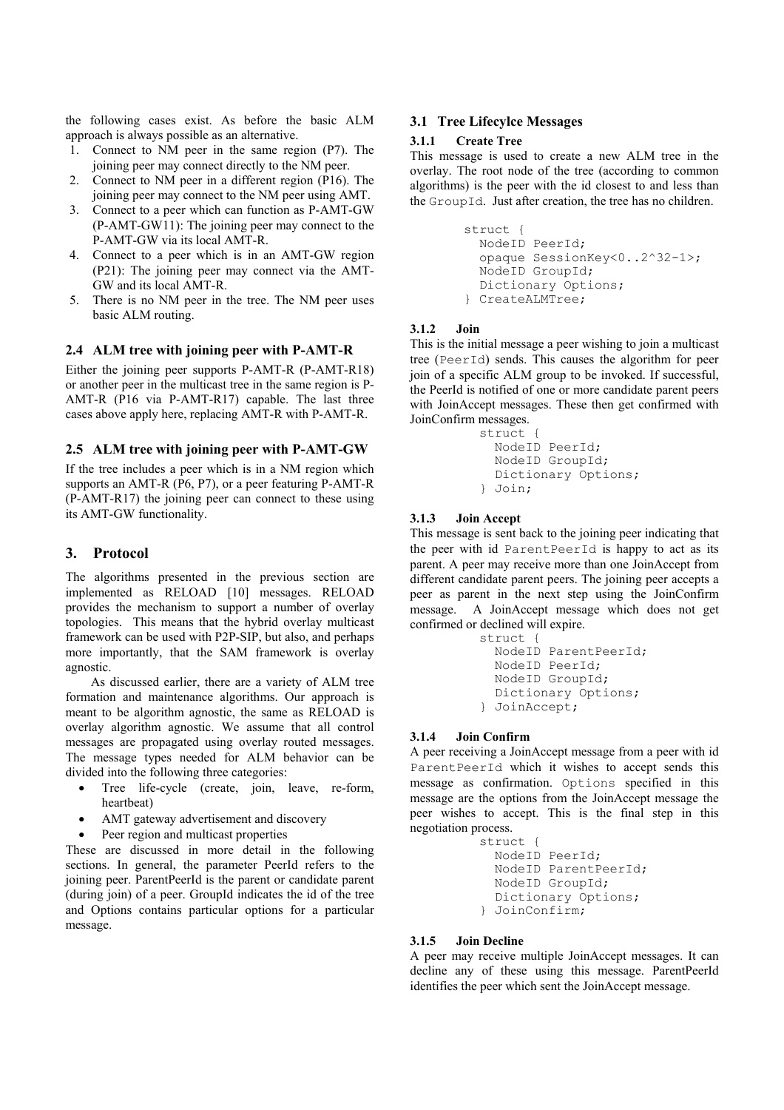the following cases exist. As before the basic ALM approach is always possible as an alternative.

- 1. Connect to NM peer in the same region (P7). The joining peer may connect directly to the NM peer.
- 2. Connect to NM peer in a different region (P16). The joining peer may connect to the NM peer using AMT.
- 3. Connect to a peer which can function as P-AMT-GW (P-AMT-GW11): The joining peer may connect to the P-AMT-GW via its local AMT-R.
- 4. Connect to a peer which is in an AMT-GW region (P21): The joining peer may connect via the AMT-GW and its local AMT-R.
- 5. There is no NM peer in the tree. The NM peer uses basic ALM routing.

#### **2.4 ALM tree with joining peer with P-AMT-R**

Either the joining peer supports P-AMT-R (P-AMT-R18) or another peer in the multicast tree in the same region is P-AMT-R (P16 via P-AMT-R17) capable. The last three cases above apply here, replacing AMT-R with P-AMT-R.

#### **2.5 ALM tree with joining peer with P-AMT-GW**

If the tree includes a peer which is in a NM region which supports an AMT-R (P6, P7), or a peer featuring P-AMT-R (P-AMT-R17) the joining peer can connect to these using its AMT-GW functionality.

### **3. Protocol**

The algorithms presented in the previous section are implemented as RELOAD [10] messages. RELOAD provides the mechanism to support a number of overlay topologies. This means that the hybrid overlay multicast framework can be used with P2P-SIP, but also, and perhaps more importantly, that the SAM framework is overlay agnostic.

 As discussed earlier, there are a variety of ALM tree formation and maintenance algorithms. Our approach is meant to be algorithm agnostic, the same as RELOAD is overlay algorithm agnostic. We assume that all control messages are propagated using overlay routed messages. The message types needed for ALM behavior can be divided into the following three categories:

- Tree life-cycle (create, join, leave, re-form, heartbeat)
- AMT gateway advertisement and discovery
- Peer region and multicast properties

These are discussed in more detail in the following sections. In general, the parameter PeerId refers to the joining peer. ParentPeerId is the parent or candidate parent (during join) of a peer. GroupId indicates the id of the tree and Options contains particular options for a particular message.

### **3.1 Tree Lifecylce Messages**

#### **3.1.1 Create Tree**

This message is used to create a new ALM tree in the overlay. The root node of the tree (according to common algorithms) is the peer with the id closest to and less than the GroupId. Just after creation, the tree has no children.

```
struct {
  NodeID PeerId; 
  opaque SessionKey<0..2^32-1>; 
  NodeID GroupId; 
  Dictionary Options; 
} CreateALMTree;
```
### **3.1.2 Join**

This is the initial message a peer wishing to join a multicast tree (PeerId) sends. This causes the algorithm for peer join of a specific ALM group to be invoked. If successful, the PeerId is notified of one or more candidate parent peers with JoinAccept messages. These then get confirmed with JoinConfirm messages.

```
struct {
  NodeID PeerId; 
  NodeID GroupId; 
  Dictionary Options; 
} Join;
```
#### **3.1.3 Join Accept**

This message is sent back to the joining peer indicating that the peer with id ParentPeerId is happy to act as its parent. A peer may receive more than one JoinAccept from different candidate parent peers. The joining peer accepts a peer as parent in the next step using the JoinConfirm message. A JoinAccept message which does not get confirmed or declined will expire.

```
 struct { 
  NodeID ParentPeerId; 
  NodeID PeerId; 
  NodeID GroupId; 
  Dictionary Options; 
} JoinAccept;
```
#### **3.1.4 Join Confirm**

A peer receiving a JoinAccept message from a peer with id ParentPeerId which it wishes to accept sends this message as confirmation. Options specified in this message are the options from the JoinAccept message the peer wishes to accept. This is the final step in this negotiation process.

```
 struct { 
  NodeID PeerId; 
  NodeID ParentPeerId; 
  NodeID GroupId; 
  Dictionary Options; 
} JoinConfirm;
```
#### **3.1.5 Join Decline**

A peer may receive multiple JoinAccept messages. It can decline any of these using this message. ParentPeerId identifies the peer which sent the JoinAccept message.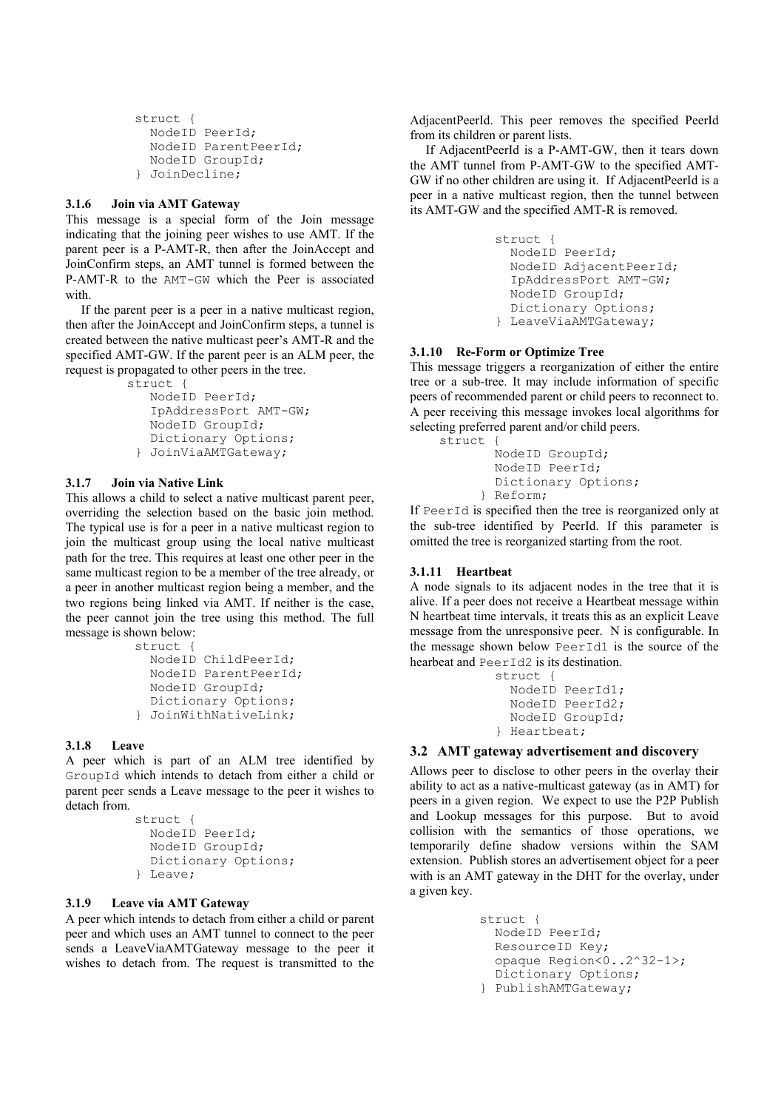```
 struct { 
  NodeID PeerId; 
  NodeID ParentPeerId; 
  NodeID GroupId; 
} JoinDecline;
```
#### **3.1.6 Join via AMT Gateway**

This message is a special form of the Join message indicating that the joining peer wishes to use AMT. If the parent peer is a P-AMT-R, then after the JoinAccept and JoinConfirm steps, an AMT tunnel is formed between the P-AMT-R to the AMT-GW which the Peer is associated with.

If the parent peer is a peer in a native multicast region, then after the JoinAccept and JoinConfirm steps, a tunnel is created between the native multicast peer's AMT-R and the specified AMT-GW. If the parent peer is an ALM peer, the request is propagated to other peers in the tree.

> struct { NodeID PeerId; IpAddressPort AMT-GW; NodeID GroupId; Dictionary Options; } JoinViaAMTGateway;

#### **3.1.7 Join via Native Link**

This allows a child to select a native multicast parent peer, overriding the selection based on the basic join method. The typical use is for a peer in a native multicast region to join the multicast group using the local native multicast path for the tree. This requires at least one other peer in the same multicast region to be a member of the tree already, or a peer in another multicast region being a member, and the two regions being linked via AMT. If neither is the case, the peer cannot join the tree using this method. The full message is shown below:

```
 struct { 
  NodeID ChildPeerId; 
  NodeID ParentPeerId; 
  NodeID GroupId; 
  Dictionary Options; 
} JoinWithNativeLink;
```
### **3.1.8 Leave**

A peer which is part of an ALM tree identified by GroupId which intends to detach from either a child or parent peer sends a Leave message to the peer it wishes to detach from.

```
struct {
  NodeID PeerId; 
  NodeID GroupId; 
  Dictionary Options; 
} Leave;
```
#### **3.1.9 Leave via AMT Gateway**

A peer which intends to detach from either a child or parent peer and which uses an AMT tunnel to connect to the peer sends a LeaveViaAMTGateway message to the peer it wishes to detach from. The request is transmitted to the

AdjacentPeerId. This peer removes the specified PeerId from its children or parent lists.

If AdjacentPeerId is a P-AMT-GW, then it tears down the AMT tunnel from P-AMT-GW to the specified AMT-GW if no other children are using it. If AdjacentPeerId is a peer in a native multicast region, then the tunnel between its AMT-GW and the specified AMT-R is removed.

```
 struct { 
  NodeID PeerId; 
  NodeID AdjacentPeerId; 
  IpAddressPort AMT-GW; 
  NodeID GroupId; 
  Dictionary Options; 
} LeaveViaAMTGateway;
```
#### **3.1.10 Re-Form or Optimize Tree**

This message triggers a reorganization of either the entire tree or a sub-tree. It may include information of specific peers of recommended parent or child peers to reconnect to. A peer receiving this message invokes local algorithms for selecting preferred parent and/or child peers.

```
struct {
        NodeID GroupId; 
        NodeID PeerId; 
        Dictionary Options; 
      } Reform;
```
If PeerId is specified then the tree is reorganized only at the sub-tree identified by PeerId. If this parameter is omitted the tree is reorganized starting from the root.

### **3.1.11 Heartbeat**

A node signals to its adjacent nodes in the tree that it is alive. If a peer does not receive a Heartbeat message within N heartbeat time intervals, it treats this as an explicit Leave message from the unresponsive peer. N is configurable. In the message shown below PeerId1 is the source of the hearbeat and PeerId2 is its destination.

```
 struct { 
  NodeID PeerId1; 
  NodeID PeerId2; 
  NodeID GroupId; 
} Heartbeat;
```
#### **3.2 AMT gateway advertisement and discovery**

Allows peer to disclose to other peers in the overlay their ability to act as a native-multicast gateway (as in AMT) for peers in a given region. We expect to use the P2P Publish and Lookup messages for this purpose. But to avoid collision with the semantics of those operations, we temporarily define shadow versions within the SAM extension. Publish stores an advertisement object for a peer with is an AMT gateway in the DHT for the overlay, under a given key.

```
 struct { 
  NodeID PeerId; 
  ResourceID Key; 
  opaque Region<0..2^32-1>; 
  Dictionary Options; 
} PublishAMTGateway;
```